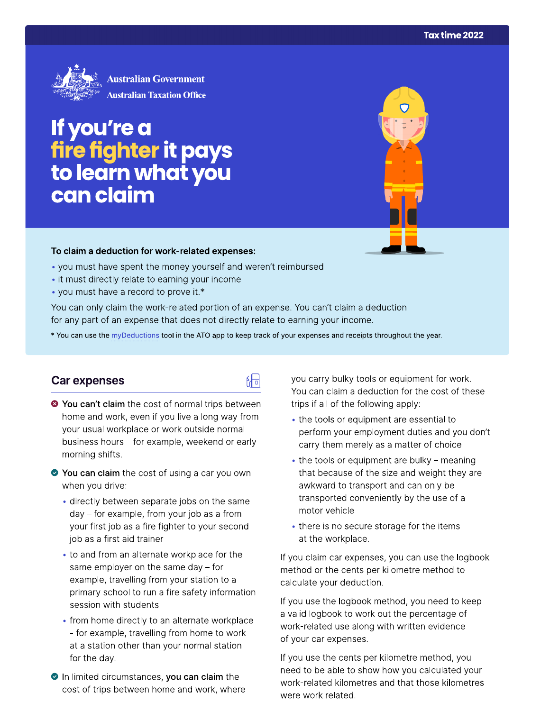

If you're a<br>fire fighter it pays<br>to learn what you can claim

#### To claim a deduction for work-related expenses:

- you must have spent the money yourself and weren't reimbursed
- it must directly relate to earning your income
- you must have a record to prove it.\*

You can only claim the work-related portion of an expense. You can't claim a deduction for any part of an expense that does not directly relate to earning your income.

\* You can use the myDeductions tool in the ATO app to keep track of your expenses and receipts throughout the year.

#### Car expenses

- <sup>3</sup> You can't claim the cost of normal trips between home and work, even if you live a long way from your usual workplace or work outside normal business hours - for example, weekend or early morning shifts.
- ◆ You can claim the cost of using a car you own when you drive:
	- · directly between separate jobs on the same day – for example, from your job as a from your first job as a fire fighter to your second job as a first aid trainer
	- to and from an alternate workplace for the same employer on the same day  $-$  for example, travelling from your station to a primary school to run a fire safety information session with students
	- from home directly to an alternate workplace - for example, travelling from home to work at a station other than your normal station for the day.
- In limited circumstances, you can claim the cost of trips between home and work, where

you carry bulky tools or equipment for work. You can claim a deduction for the cost of these trips if all of the following apply:

- the tools or equipment are essential to perform your employment duties and you don't carry them merely as a matter of choice
- the tools or equipment are bulky meaning that because of the size and weight they are awkward to transport and can only be transported conveniently by the use of a motor vehicle
- there is no secure storage for the items at the workplace.

If you claim car expenses, you can use the logbook method or the cents per kilometre method to calculate your deduction.

If you use the logbook method, you need to keep a valid logbook to work out the percentage of work-related use along with written evidence of your car expenses.

If you use the cents per kilometre method, you need to be able to show how you calculated your work-related kilometres and that those kilometres were work related.